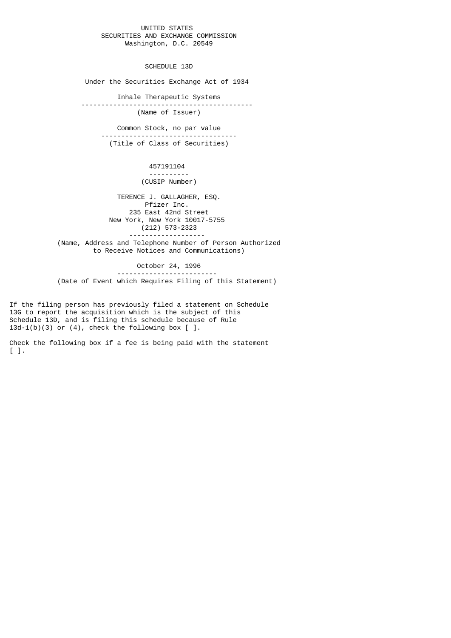## UNITED STATES SECURITIES AND EXCHANGE COMMISSION Washington, D.C. 20549

SCHEDULE 13D

Under the Securities Exchange Act of 1934

 Inhale Therapeutic Systems ------------------------------------------- (Name of Issuer)

 Common Stock, no par value ---------------------------------- (Title of Class of Securities)

> 457191104 ---------- (CUSIP Number)

 TERENCE J. GALLAGHER, ESQ. Pfizer Inc. 235 East 42nd Street New York, New York 10017-5755 (212) 573-2323 -------------------

 (Name, Address and Telephone Number of Person Authorized to Receive Notices and Communications)

 October 24, 1996 ------------------------- (Date of Event which Requires Filing of this Statement)

If the filing person has previously filed a statement on Schedule 13G to report the acquisition which is the subject of this Schedule 13D, and is filing this schedule because of Rule  $13d-1(b)(3)$  or  $(4)$ , check the following box  $[$  ].

Check the following box if a fee is being paid with the statement [ ].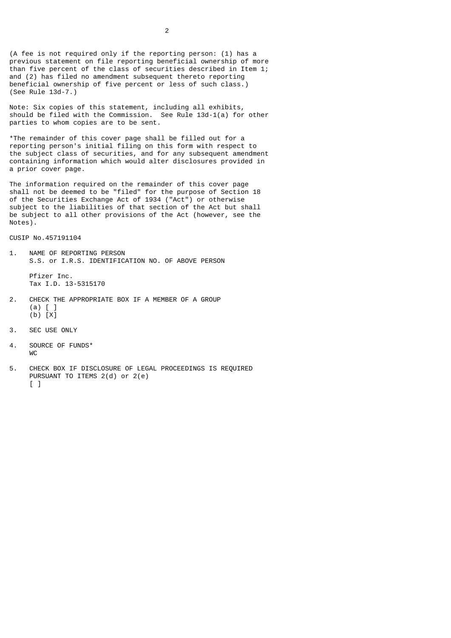(A fee is not required only if the reporting person: (1) has a previous statement on file reporting beneficial ownership of more than five percent of the class of securities described in Item 1; and (2) has filed no amendment subsequent thereto reporting beneficial ownership of five percent or less of such class.) (See Rule 13d-7.)

Note: Six copies of this statement, including all exhibits, should be filed with the Commission. See Rule 13d-1(a) for other parties to whom copies are to be sent.

\*The remainder of this cover page shall be filled out for a reporting person's initial filing on this form with respect to the subject class of securities, and for any subsequent amendment containing information which would alter disclosures provided in a prior cover page.

The information required on the remainder of this cover page shall not be deemed to be "filed" for the purpose of Section 18 of the Securities Exchange Act of 1934 ("Act") or otherwise subject to the liabilities of that section of the Act but shall be subject to all other provisions of the Act (however, see the Notes).

CUSIP No.457191104

1. NAME OF REPORTING PERSON S.S. or I.R.S. IDENTIFICATION NO. OF ABOVE PERSON

 Pfizer Inc. Tax I.D. 13-5315170

- 2. CHECK THE APPROPRIATE BOX IF A MEMBER OF A GROUP (a) [ ] (b) [X]
- 3. SEC USE ONLY
- 4. SOURCE OF FUNDS\* WC
- 5. CHECK BOX IF DISCLOSURE OF LEGAL PROCEEDINGS IS REQUIRED PURSUANT TO ITEMS 2(d) or 2(e) [ ]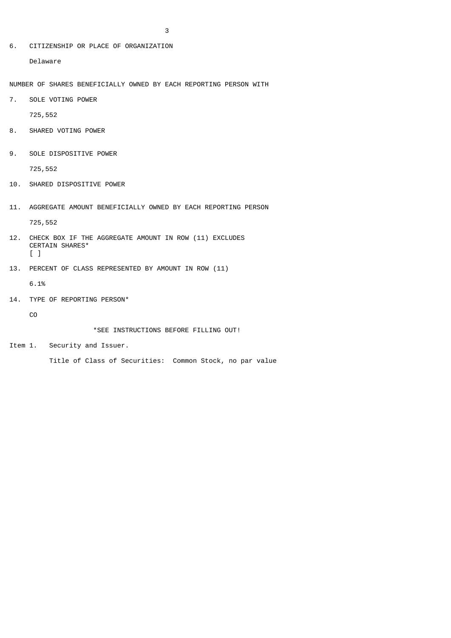6. CITIZENSHIP OR PLACE OF ORGANIZATION

Delaware

NUMBER OF SHARES BENEFICIALLY OWNED BY EACH REPORTING PERSON WITH

7. SOLE VOTING POWER

725,552

- 8. SHARED VOTING POWER
- 9. SOLE DISPOSITIVE POWER

725,552

- 10. SHARED DISPOSITIVE POWER
- 11. AGGREGATE AMOUNT BENEFICIALLY OWNED BY EACH REPORTING PERSON

725,552

- 12. CHECK BOX IF THE AGGREGATE AMOUNT IN ROW (11) EXCLUDES CERTAIN SHARES\* [ ]
- 13. PERCENT OF CLASS REPRESENTED BY AMOUNT IN ROW (11)

6.1%

14. TYPE OF REPORTING PERSON\*

CO

\*SEE INSTRUCTIONS BEFORE FILLING OUT!

Item 1. Security and Issuer.

Title of Class of Securities: Common Stock, no par value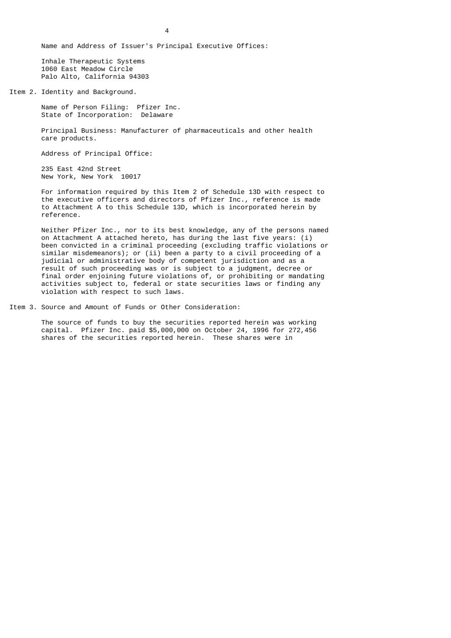Name and Address of Issuer's Principal Executive Offices:

 Inhale Therapeutic Systems 1060 East Meadow Circle Palo Alto, California 94303

Item 2. Identity and Background.

 Name of Person Filing: Pfizer Inc. State of Incorporation: Delaware

 Principal Business: Manufacturer of pharmaceuticals and other health care products.

Address of Principal Office:

 235 East 42nd Street New York, New York 10017

 For information required by this Item 2 of Schedule 13D with respect to the executive officers and directors of Pfizer Inc., reference is made to Attachment A to this Schedule 13D, which is incorporated herein by reference.

 Neither Pfizer Inc., nor to its best knowledge, any of the persons named on Attachment A attached hereto, has during the last five years: (i) been convicted in a criminal proceeding (excluding traffic violations or similar misdemeanors); or (ii) been a party to a civil proceeding of a judicial or administrative body of competent jurisdiction and as a result of such proceeding was or is subject to a judgment, decree or final order enjoining future violations of, or prohibiting or mandating activities subject to, federal or state securities laws or finding any violation with respect to such laws.

Item 3. Source and Amount of Funds or Other Consideration:

 The source of funds to buy the securities reported herein was working capital. Pfizer Inc. paid \$5,000,000 on October 24, 1996 for 272,456 shares of the securities reported herein. These shares were in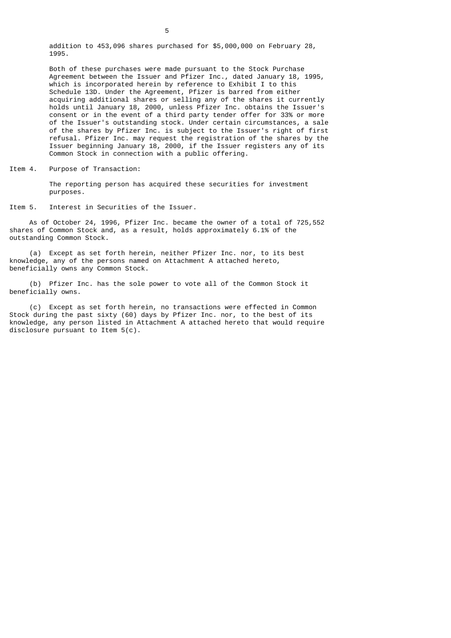addition to 453,096 shares purchased for \$5,000,000 on February 28, 1995.

 Both of these purchases were made pursuant to the Stock Purchase Agreement between the Issuer and Pfizer Inc., dated January 18, 1995, which is incorporated herein by reference to Exhibit I to this Schedule 13D. Under the Agreement, Pfizer is barred from either acquiring additional shares or selling any of the shares it currently holds until January 18, 2000, unless Pfizer Inc. obtains the Issuer's consent or in the event of a third party tender offer for 33% or more of the Issuer's outstanding stock. Under certain circumstances, a sale of the shares by Pfizer Inc. is subject to the Issuer's right of first refusal. Pfizer Inc. may request the registration of the shares by the Issuer beginning January 18, 2000, if the Issuer registers any of its Common Stock in connection with a public offering.

Item 4. Purpose of Transaction:

 The reporting person has acquired these securities for investment purposes.

Item 5. Interest in Securities of the Issuer.

 As of October 24, 1996, Pfizer Inc. became the owner of a total of 725,552 shares of Common Stock and, as a result, holds approximately 6.1% of the outstanding Common Stock.

 (a) Except as set forth herein, neither Pfizer Inc. nor, to its best knowledge, any of the persons named on Attachment A attached hereto, beneficially owns any Common Stock.

 (b) Pfizer Inc. has the sole power to vote all of the Common Stock it beneficially owns.

 (c) Except as set forth herein, no transactions were effected in Common Stock during the past sixty (60) days by Pfizer Inc. nor, to the best of its knowledge, any person listed in Attachment A attached hereto that would require disclosure pursuant to Item 5(c).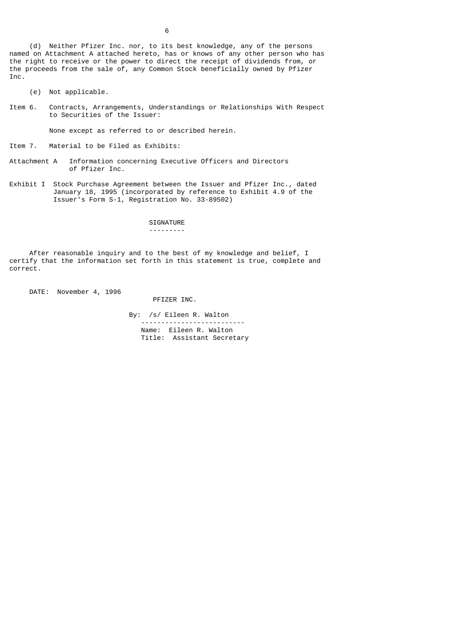(d) Neither Pfizer Inc. nor, to its best knowledge, any of the persons named on Attachment A attached hereto, has or knows of any other person who has the right to receive or the power to direct the receipt of dividends from, or the proceeds from the sale of, any Common Stock beneficially owned by Pfizer Inc.

- (e) Not applicable.
- Item 6. Contracts, Arrangements, Understandings or Relationships With Respect to Securities of the Issuer:

None except as referred to or described herein.

Item 7. Material to be Filed as Exhibits:

- Attachment A Information concerning Executive Officers and Directors of Pfizer Inc.
- Exhibit I Stock Purchase Agreement between the Issuer and Pfizer Inc., dated January 18, 1995 (incorporated by reference to Exhibit 4.9 of the Issuer's Form S-1, Registration No. 33-89502)

 SIGNATURE ---------

After reasonable inquiry and to the best of my knowledge and belief, I certify that the information set forth in this statement is true, complete and correct.

DATE: November 4, 1996

PFIZER INC.

 By: /s/ Eileen R. Walton -------------------------- Name: Eileen R. Walton Title: Assistant Secretary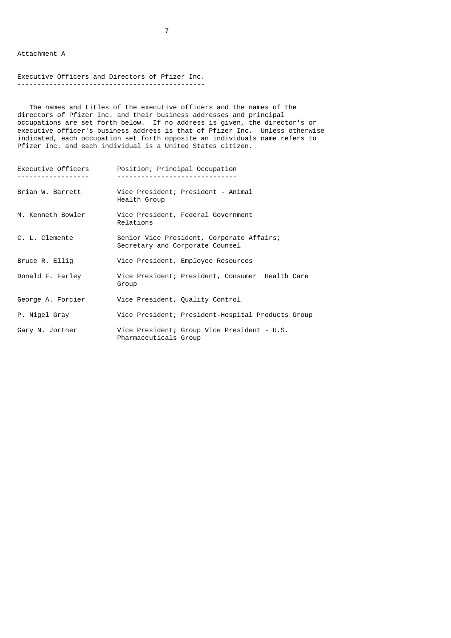Attachment A

## Executive Officers and Directors of Pfizer Inc. -----------------------------------------------

 The names and titles of the executive officers and the names of the directors of Pfizer Inc. and their business addresses and principal occupations are set forth below. If no address is given, the director's or executive officer's business address is that of Pfizer Inc. Unless otherwise indicated, each occupation set forth opposite an individuals name refers to Pfizer Inc. and each individual is a United States citizen.

| Executive Officers | Position; Principal Occupation                                               |
|--------------------|------------------------------------------------------------------------------|
| Brian W. Barrett   | Vice President; President - Animal<br>Health Group                           |
| M. Kenneth Bowler  | Vice President, Federal Government<br>Relations                              |
| C. L. Clemente     | Senior Vice President, Corporate Affairs;<br>Secretary and Corporate Counsel |
| Bruce R. Ellig     | Vice President, Employee Resources                                           |
| Donald F. Farley   | Vice President; President, Consumer Health Care<br>Group                     |
| George A. Forcier  | Vice President, Quality Control                                              |
| P. Nigel Gray      | Vice President; President-Hospital Products Group                            |
| Gary N. Jortner    | Vice President; Group Vice President - U.S.<br>Pharmaceuticals Group         |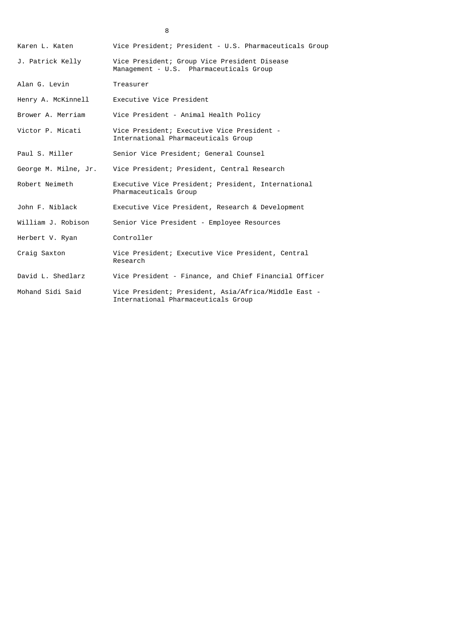| Karen L. Katen       | Vice President; President - U.S. Pharmaceuticals Group                                      |
|----------------------|---------------------------------------------------------------------------------------------|
| J. Patrick Kelly     | Vice President; Group Vice President Disease<br>Management - U.S. Pharmaceuticals Group     |
| Alan G. Levin        | Treasurer                                                                                   |
| Henry A. McKinnell   | Executive Vice President                                                                    |
| Brower A. Merriam    | Vice President - Animal Health Policy                                                       |
| Victor P. Micati     | Vice President; Executive Vice President -<br>International Pharmaceuticals Group           |
| Paul S. Miller       | Senior Vice President; General Counsel                                                      |
| George M. Milne, Jr. | Vice President; President, Central Research                                                 |
| Robert Neimeth       | Executive Vice President; President, International<br>Pharmaceuticals Group                 |
| John F. Niblack      | Executive Vice President, Research & Development                                            |
| William J. Robison   | Senior Vice President - Employee Resources                                                  |
| Herbert V. Ryan      | Controller                                                                                  |
| Craig Saxton         | Vice President; Executive Vice President, Central<br>Research                               |
| David L. Shedlarz    | Vice President - Finance, and Chief Financial Officer                                       |
| Mohand Sidi Said     | Vice President; President, Asia/Africa/Middle East -<br>International Pharmaceuticals Group |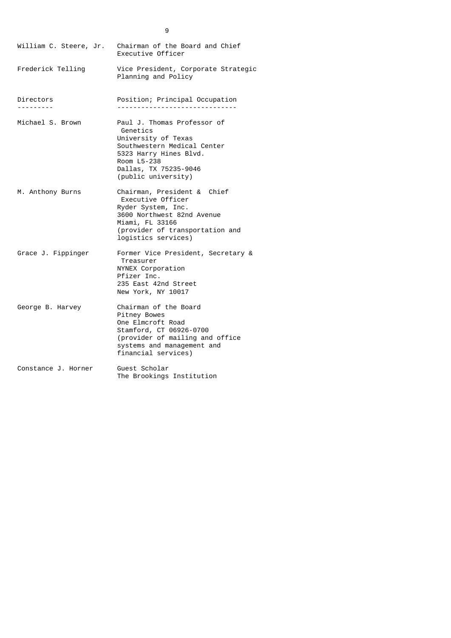| Frederick Telling<br>Vice President, Corporate Strategic<br>Planning and Policy<br>Directors<br>Position; Principal Occupation<br>---------<br>Michael S. Brown<br>Paul J. Thomas Professor of<br>Genetics<br>University of Texas<br>Southwestern Medical Center<br>5323 Harry Hines Blvd.<br>Room L5-238<br>Dallas, TX 75235-9046<br>(public university)<br>Chairman, President & Chief<br>M. Anthony Burns<br>Executive Officer<br>Ryder System, Inc.<br>3600 Northwest 82nd Avenue<br>Miami, FL 33166<br>(provider of transportation and<br>logistics services)<br>Grace J. Fippinger<br>Former Vice President, Secretary &<br>Treasurer<br>NYNEX Corporation<br>Pfizer Inc.<br>235 East 42nd Street<br>New York, NY 10017<br>Chairman of the Board<br>George B. Harvey<br>Pitney Bowes<br>One Elmcroft Road<br>Stamford, CT 06926-0700<br>(provider of mailing and office<br>systems and management and<br>financial services)<br>Constance J. Horner<br>Guest Scholar<br>The Brookings Institution | William C. Steere, Jr. | Chairman of the Board and Chief<br>Executive Officer |
|---------------------------------------------------------------------------------------------------------------------------------------------------------------------------------------------------------------------------------------------------------------------------------------------------------------------------------------------------------------------------------------------------------------------------------------------------------------------------------------------------------------------------------------------------------------------------------------------------------------------------------------------------------------------------------------------------------------------------------------------------------------------------------------------------------------------------------------------------------------------------------------------------------------------------------------------------------------------------------------------------------|------------------------|------------------------------------------------------|
|                                                                                                                                                                                                                                                                                                                                                                                                                                                                                                                                                                                                                                                                                                                                                                                                                                                                                                                                                                                                         |                        |                                                      |
|                                                                                                                                                                                                                                                                                                                                                                                                                                                                                                                                                                                                                                                                                                                                                                                                                                                                                                                                                                                                         |                        |                                                      |
|                                                                                                                                                                                                                                                                                                                                                                                                                                                                                                                                                                                                                                                                                                                                                                                                                                                                                                                                                                                                         |                        |                                                      |
|                                                                                                                                                                                                                                                                                                                                                                                                                                                                                                                                                                                                                                                                                                                                                                                                                                                                                                                                                                                                         |                        |                                                      |
|                                                                                                                                                                                                                                                                                                                                                                                                                                                                                                                                                                                                                                                                                                                                                                                                                                                                                                                                                                                                         |                        |                                                      |
|                                                                                                                                                                                                                                                                                                                                                                                                                                                                                                                                                                                                                                                                                                                                                                                                                                                                                                                                                                                                         |                        |                                                      |
|                                                                                                                                                                                                                                                                                                                                                                                                                                                                                                                                                                                                                                                                                                                                                                                                                                                                                                                                                                                                         |                        |                                                      |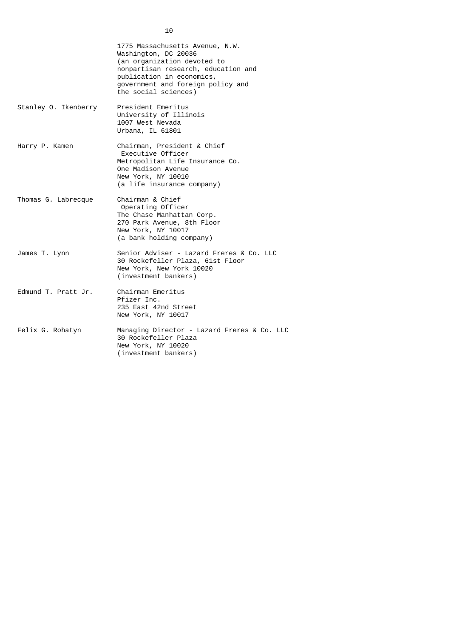|                      | 1775 Massachusetts Avenue, N.W.<br>Washington, DC 20036<br>(an organization devoted to<br>nonpartisan research, education and<br>publication in economics,<br>government and foreign policy and<br>the social sciences) |
|----------------------|-------------------------------------------------------------------------------------------------------------------------------------------------------------------------------------------------------------------------|
| Stanley 0. Ikenberry | President Emeritus<br>University of Illinois<br>1007 West Nevada<br>Urbana, IL 61801                                                                                                                                    |
| Harry P. Kamen       | Chairman, President & Chief<br>Executive Officer<br>Metropolitan Life Insurance Co.<br>One Madison Avenue<br>New York, NY 10010<br>(a life insurance company)                                                           |
| Thomas G. Labrecque  | Chairman & Chief<br>Operating Officer<br>The Chase Manhattan Corp.<br>270 Park Avenue, 8th Floor<br>New York, NY 10017<br>(a bank holding company)                                                                      |
| James T. Lynn        | Senior Adviser - Lazard Freres & Co. LLC<br>30 Rockefeller Plaza, 61st Floor<br>New York, New York 10020<br>(investment bankers)                                                                                        |
| Edmund T. Pratt Jr.  | Chairman Emeritus<br>Pfizer Inc.<br>235 East 42nd Street<br>New York, NY 10017                                                                                                                                          |
| Felix G. Rohatyn     | Managing Director - Lazard Freres & Co. LLC<br>30 Rockefeller Plaza<br>New York, NY 10020<br>(investment bankers)                                                                                                       |

10